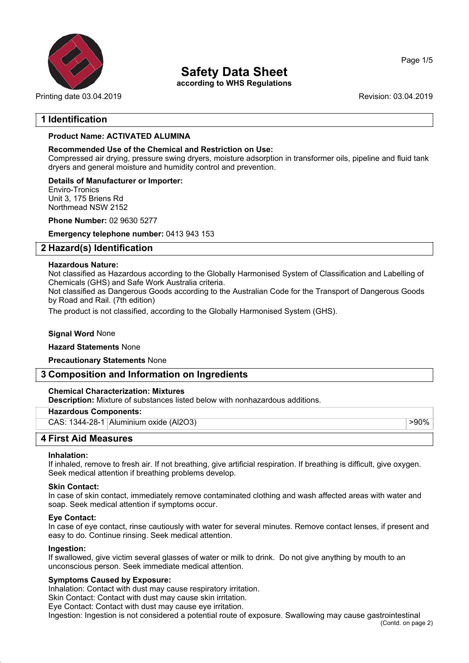

Printing date 03.04.2019 **Printing date 03.04.2019** Revision: 03.04.2019

## **Safety Data Sheet**

**according to WHS Regulations**

Page 1/5

## **1 Identification**

## **Product Name: ACTIVATED ALUMINA**

## **Recommended Use of the Chemical and Restriction on Use:**

Compressed air drying, pressure swing dryers, moisture adsorption in transformer oils, pipeline and fluid tank dryers and general moisture and humidity control and prevention.

**Details of Manufacturer or Importer:** Enviro-Tronics Unit 3, 175 Briens Rd Northmead NSW 2152

**Phone Number:** 02 9630 5277

**Emergency telephone number:** 0413 943 153

## **2 Hazard(s) Identification**

#### **Hazardous Nature:**

Not classified as Hazardous according to the Globally Harmonised System of Classification and Labelling of Chemicals (GHS) and Safe Work Australia criteria.

Not classified as Dangerous Goods according to the Australian Code for the Transport of Dangerous Goods by Road and Rail. (7th edition)

The product is not classified, according to the Globally Harmonised System (GHS).

### **Signal Word** None

#### **Hazard Statements** None

**Precautionary Statements** None

## **3 Composition and Information on Ingredients**

#### **Chemical Characterization: Mixtures**

**Description:** Mixture of substances listed below with nonhazardous additions.

#### **Hazardous Components:**

CAS: 1344-28-1 Aluminium oxide (Al2O3) > 90% > 90% > 90% > 90%

**4 First Aid Measures**

#### **Inhalation:**

If inhaled, remove to fresh air. If not breathing, give artificial respiration. If breathing is difficult, give oxygen. Seek medical attention if breathing problems develop.

#### **Skin Contact:**

In case of skin contact, immediately remove contaminated clothing and wash affected areas with water and soap. Seek medical attention if symptoms occur.

#### **Eye Contact:**

In case of eye contact, rinse cautiously with water for several minutes. Remove contact lenses, if present and easy to do. Continue rinsing. Seek medical attention.

#### **Ingestion:**

If swallowed, give victim several glasses of water or milk to drink. Do not give anything by mouth to an unconscious person. Seek immediate medical attention.

#### **Symptoms Caused by Exposure:**

Inhalation: Contact with dust may cause respiratory irritation.

Skin Contact: Contact with dust may cause skin irritation.

Eye Contact: Contact with dust may cause eye irritation.

Ingestion: Ingestion is not considered a potential route of exposure. Swallowing may cause gastrointestinal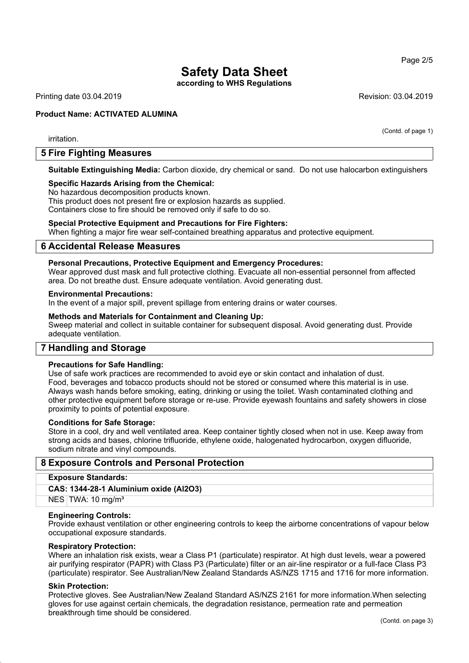**according to WHS Regulations**

Printing date 03.04.2019 **Revision: 03.04.2019** Revision: 03.04.2019

#### **Product Name: ACTIVATED ALUMINA**

irritation.

## **5 Fire Fighting Measures**

**Suitable Extinguishing Media:** Carbon dioxide, dry chemical or sand. Do not use halocarbon extinguishers

#### **Specific Hazards Arising from the Chemical:**

No hazardous decomposition products known.

This product does not present fire or explosion hazards as supplied. Containers close to fire should be removed only if safe to do so.

#### **Special Protective Equipment and Precautions for Fire Fighters:**

When fighting a major fire wear self-contained breathing apparatus and protective equipment.

#### **6 Accidental Release Measures**

#### **Personal Precautions, Protective Equipment and Emergency Procedures:**

Wear approved dust mask and full protective clothing. Evacuate all non-essential personnel from affected area. Do not breathe dust. Ensure adequate ventilation. Avoid generating dust.

#### **Environmental Precautions:**

In the event of a major spill, prevent spillage from entering drains or water courses.

#### **Methods and Materials for Containment and Cleaning Up:**

Sweep material and collect in suitable container for subsequent disposal. Avoid generating dust. Provide adequate ventilation.

## **7 Handling and Storage**

#### **Precautions for Safe Handling:**

Use of safe work practices are recommended to avoid eye or skin contact and inhalation of dust. Food, beverages and tobacco products should not be stored or consumed where this material is in use. Always wash hands before smoking, eating, drinking or using the toilet. Wash contaminated clothing and other protective equipment before storage or re-use. Provide eyewash fountains and safety showers in close proximity to points of potential exposure.

#### **Conditions for Safe Storage:**

Store in a cool, dry and well ventilated area. Keep container tightly closed when not in use. Keep away from strong acids and bases, chlorine trifluoride, ethylene oxide, halogenated hydrocarbon, oxygen difluoride, sodium nitrate and vinyl compounds.

## **8 Exposure Controls and Personal Protection**

#### **Exposure Standards:**

#### **CAS: 1344-28-1 Aluminium oxide (Al2O3)**

NES TWA: 10 mg/m<sup>3</sup>

#### **Engineering Controls:**

Provide exhaust ventilation or other engineering controls to keep the airborne concentrations of vapour below occupational exposure standards.

#### **Respiratory Protection:**

Where an inhalation risk exists, wear a Class P1 (particulate) respirator. At high dust levels, wear a powered air purifying respirator (PAPR) with Class P3 (Particulate) filter or an air-line respirator or a full-face Class P3 (particulate) respirator. See Australian/New Zealand Standards AS/NZS 1715 and 1716 for more information.

#### **Skin Protection:**

Protective gloves. See Australian/New Zealand Standard AS/NZS 2161 for more information.When selecting gloves for use against certain chemicals, the degradation resistance, permeation rate and permeation breakthrough time should be considered.

Page 2/5

(Contd. of page 1)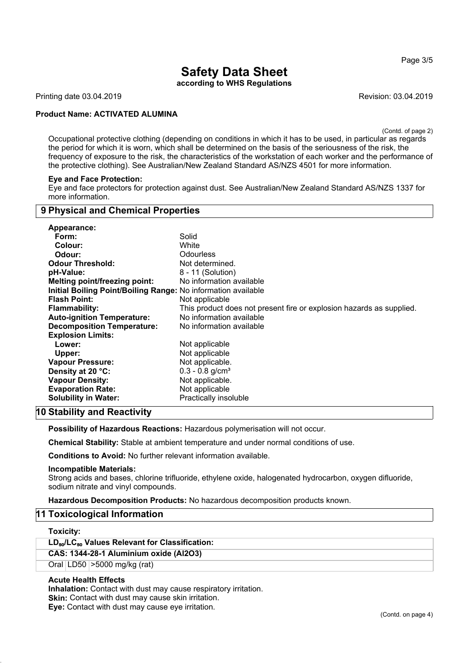**according to WHS Regulations**

Printing date 03.04.2019 **Revision: 03.04.2019** Revision: 03.04.2019

#### **Product Name: ACTIVATED ALUMINA**

(Contd. of page 2)

Occupational protective clothing (depending on conditions in which it has to be used, in particular as regards the period for which it is worn, which shall be determined on the basis of the seriousness of the risk, the frequency of exposure to the risk, the characteristics of the workstation of each worker and the performance of the protective clothing). See Australian/New Zealand Standard AS/NZS 4501 for more information.

#### **Eye and Face Protection:**

Eye and face protectors for protection against dust. See Australian/New Zealand Standard AS/NZS 1337 for more information.

## **9 Physical and Chemical Properties**

| Appearance:                                                   |                                                                      |
|---------------------------------------------------------------|----------------------------------------------------------------------|
| Form:                                                         | Solid                                                                |
| Colour:                                                       | White                                                                |
| Odour:                                                        | <b>Odourless</b>                                                     |
| <b>Odour Threshold:</b>                                       | Not determined.                                                      |
| pH-Value:                                                     | 8 - 11 (Solution)                                                    |
| Melting point/freezing point:                                 | No information available                                             |
| Initial Boiling Point/Boiling Range: No information available |                                                                      |
| <b>Flash Point:</b>                                           | Not applicable                                                       |
| <b>Flammability:</b>                                          | This product does not present fire or explosion hazards as supplied. |
| <b>Auto-ignition Temperature:</b>                             | No information available                                             |
| <b>Decomposition Temperature:</b>                             | No information available                                             |
| <b>Explosion Limits:</b>                                      |                                                                      |
| Lower:                                                        | Not applicable                                                       |
| Upper:                                                        | Not applicable                                                       |
| <b>Vapour Pressure:</b>                                       | Not applicable.                                                      |
| Density at 20 °C:                                             | $0.3 - 0.8$ g/cm <sup>3</sup>                                        |
| <b>Vapour Density:</b>                                        | Not applicable.                                                      |
| <b>Evaporation Rate:</b>                                      | Not applicable                                                       |
| <b>Solubility in Water:</b>                                   | Practically insoluble                                                |

## **10 Stability and Reactivity**

**Possibility of Hazardous Reactions:** Hazardous polymerisation will not occur.

**Chemical Stability:** Stable at ambient temperature and under normal conditions of use.

**Conditions to Avoid:** No further relevant information available.

#### **Incompatible Materials:**

Strong acids and bases, chlorine trifluoride, ethylene oxide, halogenated hydrocarbon, oxygen difluoride, sodium nitrate and vinyl compounds.

**Hazardous Decomposition Products:** No hazardous decomposition products known.

## **11 Toxicological Information**

#### **Toxicity:**

#### **LD**₅₀**/LC**₅₀ **Values Relevant for Classification:**

**CAS: 1344-28-1 Aluminium oxide (Al2O3)**

Oral LD50 >5000 mg/kg (rat)

#### **Acute Health Effects**

**Inhalation:** Contact with dust may cause respiratory irritation. **Skin:** Contact with dust may cause skin irritation. **Eye:** Contact with dust may cause eye irritation.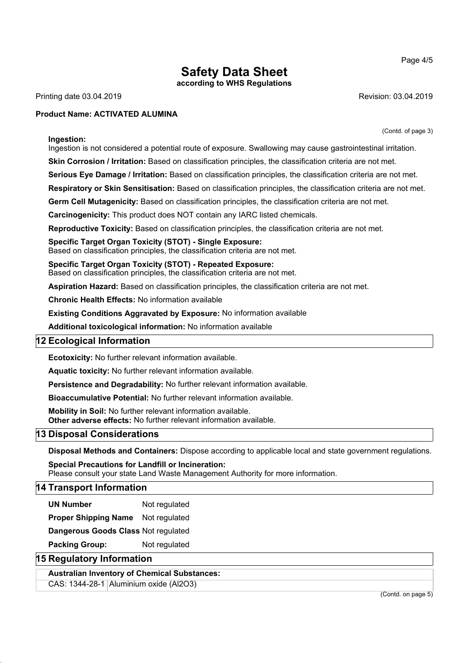**according to WHS Regulations**

Printing date 03.04.2019 **Revision: 03.04.2019** Revision: 03.04.2019

(Contd. of page 3)

#### **Product Name: ACTIVATED ALUMINA**

**Ingestion:**

Ingestion is not considered a potential route of exposure. Swallowing may cause gastrointestinal irritation.

**Skin Corrosion / Irritation:** Based on classification principles, the classification criteria are not met.

**Serious Eye Damage / Irritation:** Based on classification principles, the classification criteria are not met.

**Respiratory or Skin Sensitisation:** Based on classification principles, the classification criteria are not met.

**Germ Cell Mutagenicity:** Based on classification principles, the classification criteria are not met.

**Carcinogenicity:** This product does NOT contain any IARC listed chemicals.

**Reproductive Toxicity:** Based on classification principles, the classification criteria are not met.

**Specific Target Organ Toxicity (STOT) - Single Exposure:** Based on classification principles, the classification criteria are not met.

**Specific Target Organ Toxicity (STOT) - Repeated Exposure:** Based on classification principles, the classification criteria are not met.

**Aspiration Hazard:** Based on classification principles, the classification criteria are not met.

**Chronic Health Effects:** No information available

**Existing Conditions Aggravated by Exposure:** No information available

**Additional toxicological information:** No information available

## **12 Ecological Information**

**Ecotoxicity:** No further relevant information available.

**Aquatic toxicity:** No further relevant information available.

**Persistence and Degradability:** No further relevant information available.

**Bioaccumulative Potential:** No further relevant information available.

**Mobility in Soil:** No further relevant information available.

**Other adverse effects:** No further relevant information available.

## **13 Disposal Considerations**

**Disposal Methods and Containers:** Dispose according to applicable local and state government regulations.

**Special Precautions for Landfill or Incineration:** Please consult your state Land Waste Management Authority for more information.

## **14 Transport Information**

**UN Number** Not regulated

**Proper Shipping Name** Not regulated

**Dangerous Goods Class** Not regulated

**Packing Group:** Not regulated

## **15 Regulatory Information**

**Australian Inventory of Chemical Substances:**

CAS: 1344-28-1 Aluminium oxide (Al2O3)

(Contd. on page 5)